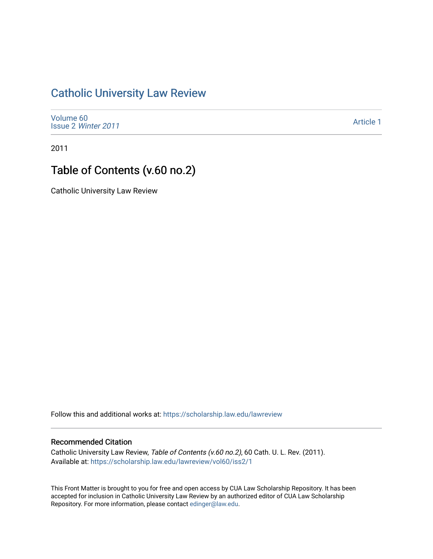# [Catholic University Law Review](https://scholarship.law.edu/lawreview)

[Volume 60](https://scholarship.law.edu/lawreview/vol60) Issue 2 [Winter 2011](https://scholarship.law.edu/lawreview/vol60/iss2) 

[Article 1](https://scholarship.law.edu/lawreview/vol60/iss2/1) 

2011

# Table of Contents (v.60 no.2)

Catholic University Law Review

Follow this and additional works at: [https://scholarship.law.edu/lawreview](https://scholarship.law.edu/lawreview?utm_source=scholarship.law.edu%2Flawreview%2Fvol60%2Fiss2%2F1&utm_medium=PDF&utm_campaign=PDFCoverPages)

#### Recommended Citation

Catholic University Law Review, Table of Contents (v.60 no.2), 60 Cath. U. L. Rev. (2011). Available at: [https://scholarship.law.edu/lawreview/vol60/iss2/1](https://scholarship.law.edu/lawreview/vol60/iss2/1?utm_source=scholarship.law.edu%2Flawreview%2Fvol60%2Fiss2%2F1&utm_medium=PDF&utm_campaign=PDFCoverPages)

This Front Matter is brought to you for free and open access by CUA Law Scholarship Repository. It has been accepted for inclusion in Catholic University Law Review by an authorized editor of CUA Law Scholarship Repository. For more information, please contact [edinger@law.edu.](mailto:edinger@law.edu)